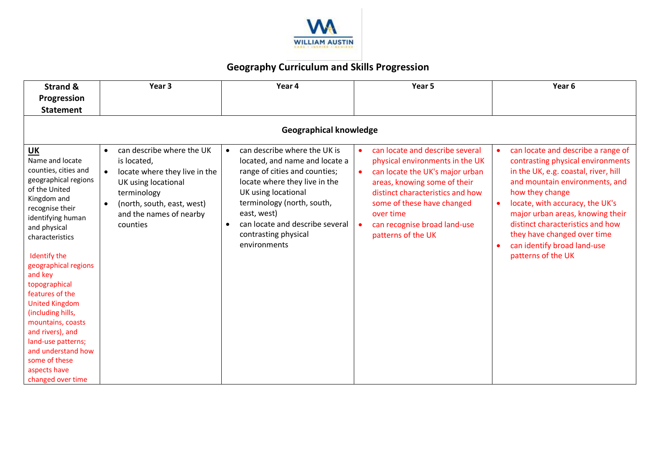

## **Geography Curriculum and Skills Progression**

| <b>Strand &amp;</b><br>Progression                                                                                                                                                                                                                                                                                                                                                                                                                               | Year 3                                                                                                                                                                                            | Year 4                                                                                                                                                                                                                                                                          | Year 5                                                                                                                                                                                                                                                                                  | Year 6                                                                                                                                                                                                                                                                                                                                                                           |  |  |
|------------------------------------------------------------------------------------------------------------------------------------------------------------------------------------------------------------------------------------------------------------------------------------------------------------------------------------------------------------------------------------------------------------------------------------------------------------------|---------------------------------------------------------------------------------------------------------------------------------------------------------------------------------------------------|---------------------------------------------------------------------------------------------------------------------------------------------------------------------------------------------------------------------------------------------------------------------------------|-----------------------------------------------------------------------------------------------------------------------------------------------------------------------------------------------------------------------------------------------------------------------------------------|----------------------------------------------------------------------------------------------------------------------------------------------------------------------------------------------------------------------------------------------------------------------------------------------------------------------------------------------------------------------------------|--|--|
| <b>Statement</b>                                                                                                                                                                                                                                                                                                                                                                                                                                                 |                                                                                                                                                                                                   |                                                                                                                                                                                                                                                                                 |                                                                                                                                                                                                                                                                                         |                                                                                                                                                                                                                                                                                                                                                                                  |  |  |
| <b>Geographical knowledge</b>                                                                                                                                                                                                                                                                                                                                                                                                                                    |                                                                                                                                                                                                   |                                                                                                                                                                                                                                                                                 |                                                                                                                                                                                                                                                                                         |                                                                                                                                                                                                                                                                                                                                                                                  |  |  |
| UK<br>Name and locate<br>counties, cities and<br>geographical regions<br>of the United<br>Kingdom and<br>recognise their<br>identifying human<br>and physical<br>characteristics<br>Identify the<br>geographical regions<br>and key<br>topographical<br>features of the<br><b>United Kingdom</b><br>(including hills,<br>mountains, coasts<br>and rivers), and<br>land-use patterns;<br>and understand how<br>some of these<br>aspects have<br>changed over time | can describe where the UK<br>$\bullet$<br>is located,<br>locate where they live in the<br>UK using locational<br>terminology<br>(north, south, east, west)<br>and the names of nearby<br>counties | can describe where the UK is<br>located, and name and locate a<br>range of cities and counties;<br>locate where they live in the<br>UK using locational<br>terminology (north, south,<br>east, west)<br>can locate and describe several<br>contrasting physical<br>environments | can locate and describe several<br>physical environments in the UK<br>can locate the UK's major urban<br>$\bullet$<br>areas, knowing some of their<br>distinct characteristics and how<br>some of these have changed<br>over time<br>can recognise broad land-use<br>patterns of the UK | can locate and describe a range of<br>contrasting physical environments<br>in the UK, e.g. coastal, river, hill<br>and mountain environments, and<br>how they change<br>locate, with accuracy, the UK's<br>$\bullet$<br>major urban areas, knowing their<br>distinct characteristics and how<br>they have changed over time<br>can identify broad land-use<br>patterns of the UK |  |  |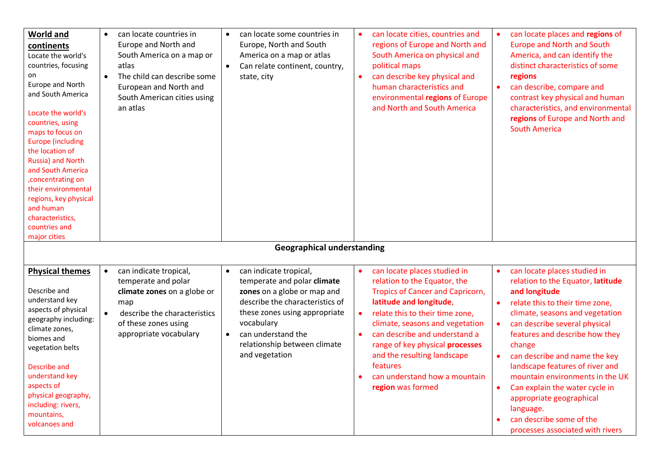| <b>World and</b><br>continents<br>Locate the world's<br>countries, focusing<br>on<br>Europe and North<br>and South America<br>Locate the world's<br>countries, using<br>maps to focus on<br><b>Europe (including</b><br>the location of<br>Russia) and North<br>and South America<br>, concentrating on<br>their environmental<br>regions, key physical<br>and human<br>characteristics,<br>countries and<br>major cities | $\bullet$<br>$\bullet$ | can locate countries in<br>Europe and North and<br>South America on a map or<br>atlas<br>The child can describe some<br>European and North and<br>South American cities using<br>an atlas | $\bullet$<br>$\bullet$ | can locate some countries in<br>Europe, North and South<br>America on a map or atlas<br>Can relate continent, country,<br>state, city                                                                                                          |                        | can locate cities, countries and<br>regions of Europe and North and<br>South America on physical and<br>political maps<br>can describe key physical and<br>human characteristics and<br>environmental regions of Europe<br>and North and South America                                                                                                                        |                        | can locate places and regions of<br>Europe and North and South<br>America, and can identify the<br>distinct characteristics of some<br>regions<br>can describe, compare and<br>contrast key physical and human<br>characteristics, and environmental<br>regions of Europe and North and<br><b>South America</b>                                                                                                                                                                         |
|---------------------------------------------------------------------------------------------------------------------------------------------------------------------------------------------------------------------------------------------------------------------------------------------------------------------------------------------------------------------------------------------------------------------------|------------------------|-------------------------------------------------------------------------------------------------------------------------------------------------------------------------------------------|------------------------|------------------------------------------------------------------------------------------------------------------------------------------------------------------------------------------------------------------------------------------------|------------------------|-------------------------------------------------------------------------------------------------------------------------------------------------------------------------------------------------------------------------------------------------------------------------------------------------------------------------------------------------------------------------------|------------------------|-----------------------------------------------------------------------------------------------------------------------------------------------------------------------------------------------------------------------------------------------------------------------------------------------------------------------------------------------------------------------------------------------------------------------------------------------------------------------------------------|
|                                                                                                                                                                                                                                                                                                                                                                                                                           |                        |                                                                                                                                                                                           |                        | <b>Geographical understanding</b>                                                                                                                                                                                                              |                        |                                                                                                                                                                                                                                                                                                                                                                               |                        |                                                                                                                                                                                                                                                                                                                                                                                                                                                                                         |
| <b>Physical themes</b><br>Describe and<br>understand key<br>aspects of physical<br>geography including:<br>climate zones,<br>biomes and<br>vegetation belts<br>Describe and<br>understand key<br>aspects of<br>physical geography,<br>including: rivers,<br>mountains,<br>volcanoes and                                                                                                                                   | $\bullet$<br>$\bullet$ | can indicate tropical,<br>temperate and polar<br>climate zones on a globe or<br>map<br>describe the characteristics<br>of these zones using<br>appropriate vocabulary                     | $\bullet$              | can indicate tropical,<br>temperate and polar climate<br>zones on a globe or map and<br>describe the characteristics of<br>these zones using appropriate<br>vocabulary<br>can understand the<br>relationship between climate<br>and vegetation | $\bullet$<br>$\bullet$ | can locate places studied in<br>relation to the Equator, the<br><b>Tropics of Cancer and Capricorn,</b><br>latitude and longitude,<br>relate this to their time zone,<br>climate, seasons and vegetation<br>can describe and understand a<br>range of key physical processes<br>and the resulting landscape<br>features<br>can understand how a mountain<br>region was formed | $\bullet$<br>$\bullet$ | can locate places studied in<br>relation to the Equator, latitude<br>and longitude<br>relate this to their time zone,<br>climate, seasons and vegetation<br>can describe several physical<br>features and describe how they<br>change<br>can describe and name the key<br>landscape features of river and<br>mountain environments in the UK<br>Can explain the water cycle in<br>appropriate geographical<br>language.<br>can describe some of the<br>processes associated with rivers |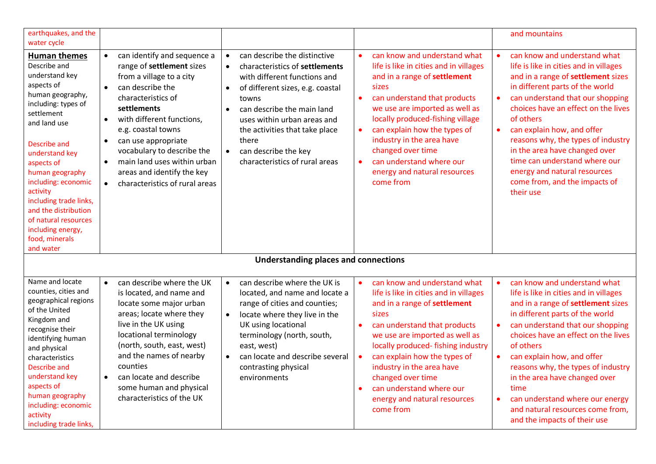| earthquakes, and the<br>water cycle                                                                                                                                                                                                                                                                                                                                              |                                                                                                                                                                                                                                                                                                                                                                                                                                    |                                                                                                                                                                                                                                                                                                                                                                                |                                                                                                                                                                                                                                                                                                                                                                                               | and mountains                                                                                                                                                                                                                                                                                                                                                                                                                                                                         |
|----------------------------------------------------------------------------------------------------------------------------------------------------------------------------------------------------------------------------------------------------------------------------------------------------------------------------------------------------------------------------------|------------------------------------------------------------------------------------------------------------------------------------------------------------------------------------------------------------------------------------------------------------------------------------------------------------------------------------------------------------------------------------------------------------------------------------|--------------------------------------------------------------------------------------------------------------------------------------------------------------------------------------------------------------------------------------------------------------------------------------------------------------------------------------------------------------------------------|-----------------------------------------------------------------------------------------------------------------------------------------------------------------------------------------------------------------------------------------------------------------------------------------------------------------------------------------------------------------------------------------------|---------------------------------------------------------------------------------------------------------------------------------------------------------------------------------------------------------------------------------------------------------------------------------------------------------------------------------------------------------------------------------------------------------------------------------------------------------------------------------------|
| <b>Human themes</b><br>Describe and<br>understand key<br>aspects of<br>human geography,<br>including: types of<br>settlement<br>and land use<br>Describe and<br>understand key<br>aspects of<br>human geography<br>including: economic<br>activity<br>including trade links,<br>and the distribution<br>of natural resources<br>including energy,<br>food, minerals<br>and water | can identify and sequence a<br>$\bullet$<br>range of settlement sizes<br>from a village to a city<br>can describe the<br>$\bullet$<br>characteristics of<br>settlements<br>with different functions,<br>$\bullet$<br>e.g. coastal towns<br>can use appropriate<br>$\bullet$<br>vocabulary to describe the<br>main land uses within urban<br>$\bullet$<br>areas and identify the key<br>characteristics of rural areas<br>$\bullet$ | can describe the distinctive<br>$\bullet$<br>characteristics of settlements<br>$\bullet$<br>with different functions and<br>of different sizes, e.g. coastal<br>$\bullet$<br>towns<br>can describe the main land<br>$\bullet$<br>uses within urban areas and<br>the activities that take place<br>there<br>can describe the key<br>$\bullet$<br>characteristics of rural areas | can know and understand what<br>life is like in cities and in villages<br>and in a range of settlement<br>sizes<br>can understand that products<br>we use are imported as well as<br>locally produced-fishing village<br>can explain how the types of<br>$\bullet$<br>industry in the area have<br>changed over time<br>can understand where our<br>energy and natural resources<br>come from | can know and understand what<br>$\bullet$<br>life is like in cities and in villages<br>and in a range of settlement sizes<br>in different parts of the world<br>can understand that our shopping<br>choices have an effect on the lives<br>of others<br>can explain how, and offer<br>$\bullet$<br>reasons why, the types of industry<br>in the area have changed over<br>time can understand where our<br>energy and natural resources<br>come from, and the impacts of<br>their use |
|                                                                                                                                                                                                                                                                                                                                                                                  |                                                                                                                                                                                                                                                                                                                                                                                                                                    | <b>Understanding places and connections</b>                                                                                                                                                                                                                                                                                                                                    |                                                                                                                                                                                                                                                                                                                                                                                               |                                                                                                                                                                                                                                                                                                                                                                                                                                                                                       |
| Name and locate<br>counties, cities and<br>geographical regions<br>of the United<br>Kingdom and<br>recognise their<br>identifying human<br>and physical<br>characteristics<br><b>Describe and</b><br>understand key<br>aspects of<br>human geography<br>including: economic<br>activity<br>including trade links,                                                                | can describe where the UK<br>is located, and name and<br>locate some major urban<br>areas; locate where they<br>live in the UK using<br>locational terminology<br>(north, south, east, west)<br>and the names of nearby<br>counties<br>can locate and describe<br>some human and physical<br>characteristics of the UK                                                                                                             | can describe where the UK is<br>$\bullet$<br>located, and name and locate a<br>range of cities and counties;<br>locate where they live in the<br>$\bullet$<br>UK using locational<br>terminology (north, south,<br>east, west)<br>can locate and describe several<br>$\bullet$<br>contrasting physical<br>environments                                                         | can know and understand what<br>life is like in cities and in villages<br>and in a range of settlement<br>sizes<br>can understand that products<br>we use are imported as well as<br>locally produced-fishing industry<br>can explain how the types of<br>industry in the area have<br>changed over time<br>can understand where our<br>energy and natural resources<br>come from             | can know and understand what<br>$\bullet$<br>life is like in cities and in villages<br>and in a range of settlement sizes<br>in different parts of the world<br>can understand that our shopping<br>choices have an effect on the lives<br>of others<br>can explain how, and offer<br>reasons why, the types of industry<br>in the area have changed over<br>time<br>can understand where our energy<br>$\bullet$<br>and natural resources come from,<br>and the impacts of their use |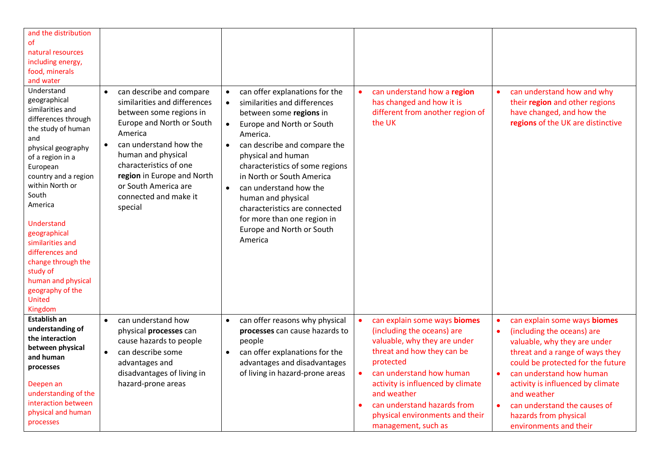| and the distribution<br>of<br>natural resources<br>including energy,<br>food, minerals<br>and water<br>Understand<br>geographical<br>similarities and<br>differences through<br>the study of human<br>and<br>physical geography<br>of a region in a<br>European<br>country and a region<br>within North or<br>South<br>America<br>Understand<br>geographical<br>similarities and<br>differences and<br>change through the<br>study of<br>human and physical<br>geography of the<br><b>United</b><br>Kingdom | can describe and compare<br>$\bullet$<br>similarities and differences<br>between some regions in<br>Europe and North or South<br>America<br>can understand how the<br>human and physical<br>characteristics of one<br>region in Europe and North<br>or South America are<br>connected and make it<br>special | can offer explanations for the<br>$\bullet$<br>similarities and differences<br>$\bullet$<br>between some regions in<br>Europe and North or South<br>$\bullet$<br>America.<br>can describe and compare the<br>$\bullet$<br>physical and human<br>characteristics of some regions<br>in North or South America<br>can understand how the<br>$\bullet$<br>human and physical<br>characteristics are connected<br>for more than one region in<br>Europe and North or South<br>America | can understand how a region<br>$\bullet$<br>has changed and how it is<br>different from another region of<br>the UK                                                                                                                                                                                                         | can understand how and why<br>$\bullet$<br>their region and other regions<br>have changed, and how the<br>regions of the UK are distinctive                                                                                                                                                                                                                                               |
|-------------------------------------------------------------------------------------------------------------------------------------------------------------------------------------------------------------------------------------------------------------------------------------------------------------------------------------------------------------------------------------------------------------------------------------------------------------------------------------------------------------|--------------------------------------------------------------------------------------------------------------------------------------------------------------------------------------------------------------------------------------------------------------------------------------------------------------|-----------------------------------------------------------------------------------------------------------------------------------------------------------------------------------------------------------------------------------------------------------------------------------------------------------------------------------------------------------------------------------------------------------------------------------------------------------------------------------|-----------------------------------------------------------------------------------------------------------------------------------------------------------------------------------------------------------------------------------------------------------------------------------------------------------------------------|-------------------------------------------------------------------------------------------------------------------------------------------------------------------------------------------------------------------------------------------------------------------------------------------------------------------------------------------------------------------------------------------|
| Establish an<br>understanding of<br>the interaction<br>between physical<br>and human<br>processes<br>Deepen an<br>understanding of the<br>interaction between<br>physical and human<br>processes                                                                                                                                                                                                                                                                                                            | can understand how<br>$\bullet$<br>physical processes can<br>cause hazards to people<br>can describe some<br>$\bullet$<br>advantages and<br>disadvantages of living in<br>hazard-prone areas                                                                                                                 | can offer reasons why physical<br>$\bullet$<br>processes can cause hazards to<br>people<br>can offer explanations for the<br>$\bullet$<br>advantages and disadvantages<br>of living in hazard-prone areas                                                                                                                                                                                                                                                                         | can explain some ways biomes<br>$\bullet$<br>(including the oceans) are<br>valuable, why they are under<br>threat and how they can be<br>protected<br>can understand how human<br>activity is influenced by climate<br>and weather<br>can understand hazards from<br>physical environments and their<br>management, such as | can explain some ways biomes<br>$\bullet$<br>(including the oceans) are<br>$\bullet$<br>valuable, why they are under<br>threat and a range of ways they<br>could be protected for the future<br>can understand how human<br>$\bullet$<br>activity is influenced by climate<br>and weather<br>can understand the causes of<br>$\bullet$<br>hazards from physical<br>environments and their |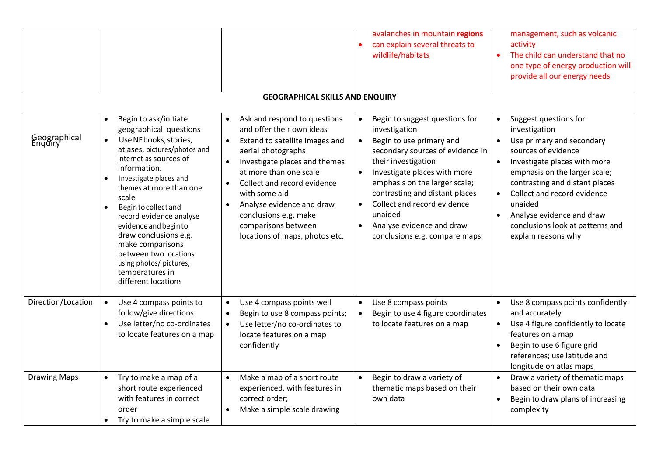|                         |                                                                                                                                                                                                                                                                                                                                                                                                                                                                    |                                                                                                                                                                                                                                                                                                                                                                                                              | avalanches in mountain regions<br>can explain several threats to<br>wildlife/habitats                                                                                                                                                                                                                                                                                                                 | management, such as volcanic<br>activity<br>The child can understand that no<br>one type of energy production will<br>provide all our energy needs                                                                                                                                                                                                        |
|-------------------------|--------------------------------------------------------------------------------------------------------------------------------------------------------------------------------------------------------------------------------------------------------------------------------------------------------------------------------------------------------------------------------------------------------------------------------------------------------------------|--------------------------------------------------------------------------------------------------------------------------------------------------------------------------------------------------------------------------------------------------------------------------------------------------------------------------------------------------------------------------------------------------------------|-------------------------------------------------------------------------------------------------------------------------------------------------------------------------------------------------------------------------------------------------------------------------------------------------------------------------------------------------------------------------------------------------------|-----------------------------------------------------------------------------------------------------------------------------------------------------------------------------------------------------------------------------------------------------------------------------------------------------------------------------------------------------------|
|                         |                                                                                                                                                                                                                                                                                                                                                                                                                                                                    | <b>GEOGRAPHICAL SKILLS AND ENQUIRY</b>                                                                                                                                                                                                                                                                                                                                                                       |                                                                                                                                                                                                                                                                                                                                                                                                       |                                                                                                                                                                                                                                                                                                                                                           |
| Geographical<br>Enquiry | Begin to ask/initiate<br>$\bullet$<br>geographical questions<br>Use NF books, stories,<br>$\bullet$<br>atlases, pictures/photos and<br>internet as sources of<br>information.<br>Investigate places and<br>themes at more than one<br>scale<br>Begin to collect and<br>record evidence analyse<br>evidence and begin to<br>draw conclusions e.g.<br>make comparisons<br>between two locations<br>using photos/ pictures,<br>temperatures in<br>different locations | Ask and respond to questions<br>$\bullet$<br>and offer their own ideas<br>Extend to satellite images and<br>$\bullet$<br>aerial photographs<br>Investigate places and themes<br>$\bullet$<br>at more than one scale<br>Collect and record evidence<br>$\bullet$<br>with some aid<br>Analyse evidence and draw<br>$\bullet$<br>conclusions e.g. make<br>comparisons between<br>locations of maps, photos etc. | Begin to suggest questions for<br>investigation<br>Begin to use primary and<br>$\bullet$<br>secondary sources of evidence in<br>their investigation<br>$\bullet$<br>Investigate places with more<br>emphasis on the larger scale;<br>contrasting and distant places<br>Collect and record evidence<br>$\bullet$<br>unaided<br>Analyse evidence and draw<br>$\bullet$<br>conclusions e.g. compare maps | Suggest questions for<br>investigation<br>Use primary and secondary<br>$\bullet$<br>sources of evidence<br>Investigate places with more<br>$\bullet$<br>emphasis on the larger scale;<br>contrasting and distant places<br>Collect and record evidence<br>unaided<br>Analyse evidence and draw<br>conclusions look at patterns and<br>explain reasons why |
| Direction/Location      | Use 4 compass points to<br>$\bullet$<br>follow/give directions<br>Use letter/no co-ordinates<br>$\bullet$<br>to locate features on a map                                                                                                                                                                                                                                                                                                                           | Use 4 compass points well<br>Begin to use 8 compass points;<br>$\bullet$<br>Use letter/no co-ordinates to<br>locate features on a map<br>confidently                                                                                                                                                                                                                                                         | Use 8 compass points<br>$\bullet$<br>Begin to use 4 figure coordinates<br>$\bullet$<br>to locate features on a map                                                                                                                                                                                                                                                                                    | Use 8 compass points confidently<br>$\bullet$<br>and accurately<br>Use 4 figure confidently to locate<br>$\bullet$<br>features on a map<br>Begin to use 6 figure grid<br>references; use latitude and<br>longitude on atlas maps                                                                                                                          |
| <b>Drawing Maps</b>     | Try to make a map of a<br>$\bullet$<br>short route experienced<br>with features in correct<br>order<br>Try to make a simple scale                                                                                                                                                                                                                                                                                                                                  | Make a map of a short route<br>$\bullet$<br>experienced, with features in<br>correct order;<br>Make a simple scale drawing                                                                                                                                                                                                                                                                                   | Begin to draw a variety of<br>$\bullet$<br>thematic maps based on their<br>own data                                                                                                                                                                                                                                                                                                                   | Draw a variety of thematic maps<br>$\bullet$<br>based on their own data<br>Begin to draw plans of increasing<br>$\bullet$<br>complexity                                                                                                                                                                                                                   |